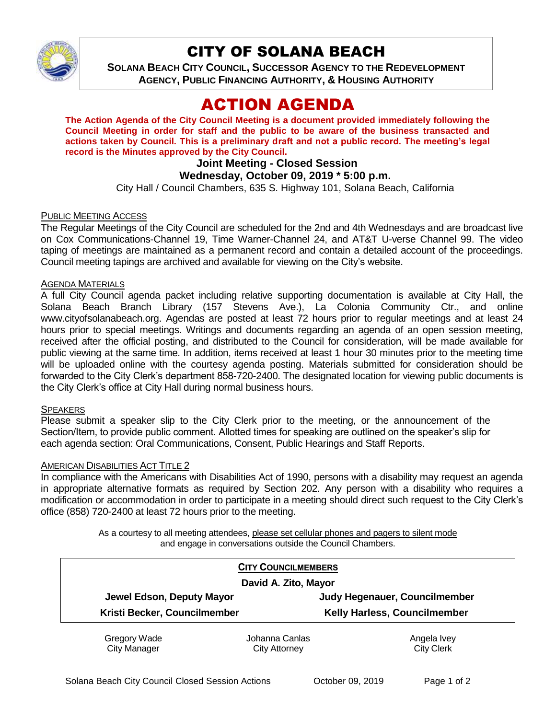

# CITY OF SOLANA BEACH

**SOLANA BEACH CITY COUNCIL, SUCCESSOR AGENCY TO THE REDEVELOPMENT AGENCY, PUBLIC FINANCING AUTHORITY, & HOUSING AUTHORITY** 

# ACTION AGENDA

**The Action Agenda of the City Council Meeting is a document provided immediately following the Council Meeting in order for staff and the public to be aware of the business transacted and actions taken by Council. This is a preliminary draft and not a public record. The meeting's legal record is the Minutes approved by the City Council.**

# **Joint Meeting - Closed Session**

## **Wednesday, October 09, 2019 \* 5:00 p.m.**

City Hall / Council Chambers, 635 S. Highway 101, Solana Beach, California

#### PUBLIC MEETING ACCESS

The Regular Meetings of the City Council are scheduled for the 2nd and 4th Wednesdays and are broadcast live on Cox Communications-Channel 19, Time Warner-Channel 24, and AT&T U-verse Channel 99. The video taping of meetings are maintained as a permanent record and contain a detailed account of the proceedings. Council meeting tapings are archived and available for viewing on the City's website.

#### **AGENDA MATERIALS**

A full City Council agenda packet including relative supporting documentation is available at City Hall, the Solana Beach Branch Library (157 Stevens Ave.), La Colonia Community Ctr., and online www.cityofsolanabeach.org. Agendas are posted at least 72 hours prior to regular meetings and at least 24 hours prior to special meetings. Writings and documents regarding an agenda of an open session meeting, received after the official posting, and distributed to the Council for consideration, will be made available for public viewing at the same time. In addition, items received at least 1 hour 30 minutes prior to the meeting time will be uploaded online with the courtesy agenda posting. Materials submitted for consideration should be forwarded to the City Clerk's department 858-720-2400. The designated location for viewing public documents is the City Clerk's office at City Hall during normal business hours.

#### SPEAKERS

Please submit a speaker slip to the City Clerk prior to the meeting, or the announcement of the Section/Item, to provide public comment. Allotted times for speaking are outlined on the speaker's slip for each agenda section: Oral Communications, Consent, Public Hearings and Staff Reports.

#### AMERICAN DISABILITIES ACT TITLE 2

In compliance with the Americans with Disabilities Act of 1990, persons with a disability may request an agenda in appropriate alternative formats as required by Section 202. Any person with a disability who requires a modification or accommodation in order to participate in a meeting should direct such request to the City Clerk's office (858) 720-2400 at least 72 hours prior to the meeting.

> As a courtesy to all meeting attendees, please set cellular phones and pagers to silent mode and engage in conversations outside the Council Chambers.

| <b>CITY COUNCILMEMBERS</b>   |                |                                     |
|------------------------------|----------------|-------------------------------------|
| David A. Zito, Mayor         |                |                                     |
| Jewel Edson, Deputy Mayor    |                | Judy Hegenauer, Councilmember       |
| Kristi Becker, Councilmember |                | <b>Kelly Harless, Councilmember</b> |
| Crogoni Wado                 | Johanna Canlae | Angola Juov                         |

Gregory Wade City Manager Johanna Canlas City Attorney

Angela Ivey City Clerk